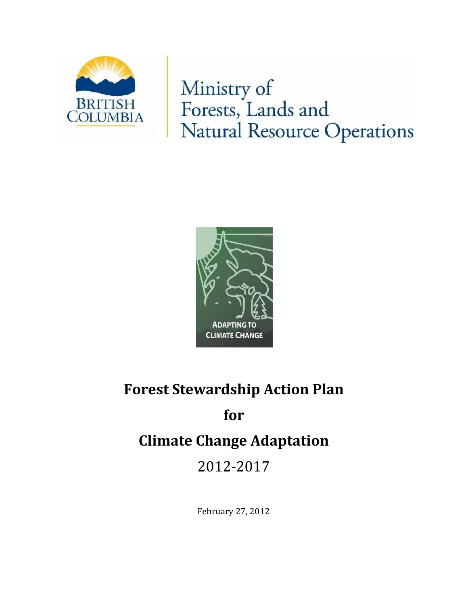

Ministry of Forests, Lands and **Natural Resource Operations** 



# **Forest Stewardship Action Plan**

# **for**

# **Climate Change Adaptation**

2012-2017

February 27, 2012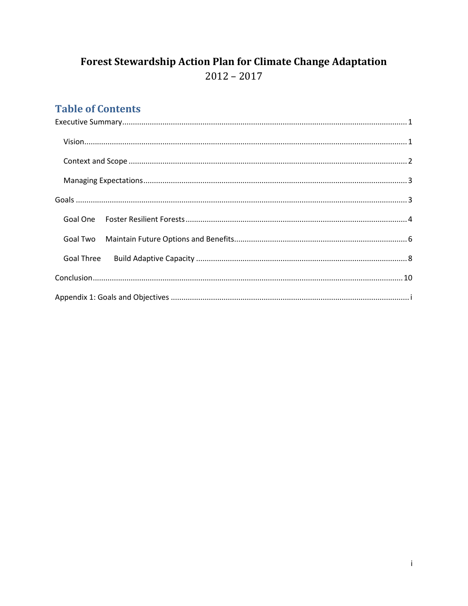# Forest Stewardship Action Plan for Climate Change Adaptation  $2012 - 2017$

# **Table of Contents**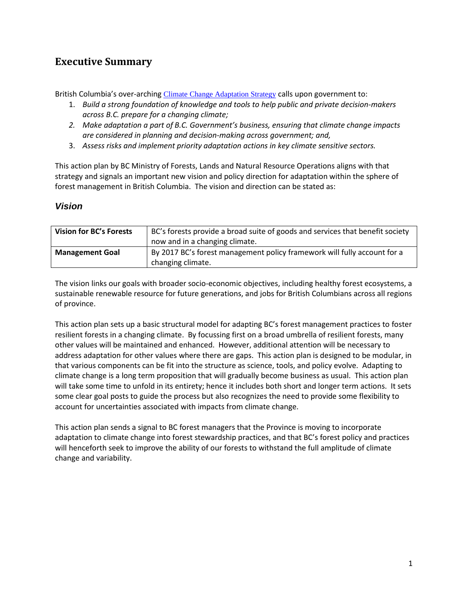# <span id="page-2-0"></span>**Executive Summary**

<span id="page-2-1"></span>British Columbia's over-arching [Climate Change Adaptation Strategy](http://www.env.gov.bc.ca/cas/adaptation/strategy.html) calls upon government to:

- 1. *Build a strong foundation of knowledge and tools to help public and private decision-makers across B.C. prepare for a changing climate;*
- *2. Make adaptation a part of B.C. Government's business, ensuring that climate change impacts are considered in planning and decision-making across government; and,*
- 3. *Assess risks and implement priority adaptation actions in key climate sensitive sectors.*

This action plan by BC Ministry of Forests, Lands and Natural Resource Operations aligns with that strategy and signals an important new vision and policy direction for adaptation within the sphere of forest management in British Columbia. The vision and direction can be stated as:

#### *Vision*

| <b>Vision for BC's Forests</b> | BC's forests provide a broad suite of goods and services that benefit society<br>now and in a changing climate. |  |
|--------------------------------|-----------------------------------------------------------------------------------------------------------------|--|
|                                |                                                                                                                 |  |
| <b>Management Goal</b>         | By 2017 BC's forest management policy framework will fully account for a                                        |  |
|                                | changing climate.                                                                                               |  |

The vision links our goals with broader socio-economic objectives, including healthy forest ecosystems, a sustainable renewable resource for future generations, and jobs for British Columbians across all regions of province.

This action plan sets up a basic structural model for adapting BC's forest management practices to foster resilient forests in a changing climate. By focussing first on a broad umbrella of resilient forests, many other values will be maintained and enhanced. However, additional attention will be necessary to address adaptation for other values where there are gaps. This action plan is designed to be modular, in that various components can be fit into the structure as science, tools, and policy evolve. Adapting to climate change is a long term proposition that will gradually become business as usual. This action plan will take some time to unfold in its entirety; hence it includes both short and longer term actions. It sets some clear goal posts to guide the process but also recognizes the need to provide some flexibility to account for uncertainties associated with impacts from climate change.

This action plan sends a signal to BC forest managers that the Province is moving to incorporate adaptation to climate change into forest stewardship practices, and that BC's forest policy and practices will henceforth seek to improve the ability of our forests to withstand the full amplitude of climate change and variability.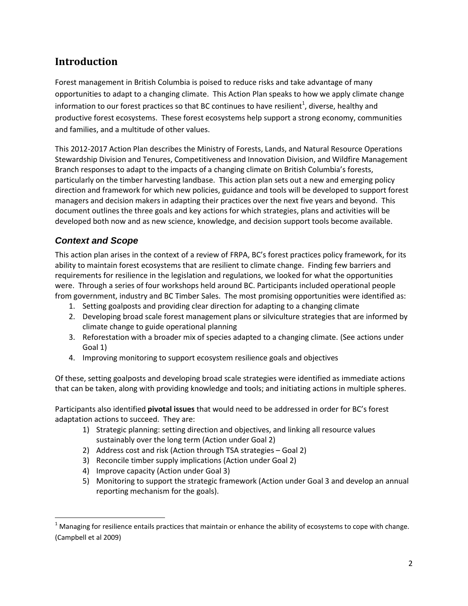# **Introduction**

Forest management in British Columbia is poised to reduce risks and take advantage of many opportunities to adapt to a changing climate. This Action Plan speaks to how we apply climate change information to our forest practices so that BC continues to have resilient<sup>1</sup>, diverse, healthy and productive forest ecosystems. These forest ecosystems help support a strong economy, communities and families, and a multitude of other values.

This 2012-2017 Action Plan describes the Ministry of Forests, Lands, and Natural Resource Operations Stewardship Division and Tenures, Competitiveness and Innovation Division, and Wildfire Management Branch responses to adapt to the impacts of a changing climate on British Columbia's forests, particularly on the timber harvesting landbase. This action plan sets out a new and emerging policy direction and framework for which new policies, guidance and tools will be developed to support forest managers and decision makers in adapting their practices over the next five years and beyond. This document outlines the three goals and key actions for which strategies, plans and activities will be developed both now and as new science, knowledge, and decision support tools become available.

## <span id="page-3-0"></span>*Context and Scope*

 $\overline{\phantom{a}}$ 

This action plan arises in the context of a review of FRPA, BC's forest practices policy framework, for its ability to maintain forest ecosystems that are resilient to climate change. Finding few barriers and requirements for resilience in the legislation and regulations, we looked for what the opportunities were. Through a series of four workshops held around BC. Participants included operational people from government, industry and BC Timber Sales. The most promising opportunities were identified as:

- 1. Setting goalposts and providing clear direction for adapting to a changing climate
- 2. Developing broad scale forest management plans or silviculture strategies that are informed by climate change to guide operational planning
- 3. Reforestation with a broader mix of species adapted to a changing climate. (See actions under Goal 1)
- 4. Improving monitoring to support ecosystem resilience goals and objectives

Of these, setting goalposts and developing broad scale strategies were identified as immediate actions that can be taken, along with providing knowledge and tools; and initiating actions in multiple spheres.

Participants also identified **pivotal issues** that would need to be addressed in order for BC's forest adaptation actions to succeed. They are:

- 1) Strategic planning: setting direction and objectives, and linking all resource values sustainably over the long term (Action under Goal 2)
- 2) Address cost and risk (Action through TSA strategies Goal 2)
- 3) Reconcile timber supply implications (Action under Goal 2)
- 4) Improve capacity (Action under Goal 3)
- 5) Monitoring to support the strategic framework (Action under Goal 3 and develop an annual reporting mechanism for the goals).

 $1$  Managing for resilience entails practices that maintain or enhance the ability of ecosystems to cope with change. (Campbell et al 2009)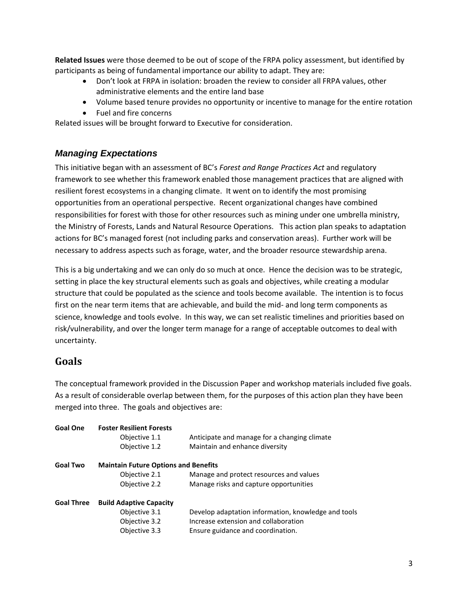**Related Issues** were those deemed to be out of scope of the FRPA policy assessment, but identified by participants as being of fundamental importance our ability to adapt. They are:

- Don't look at FRPA in isolation: broaden the review to consider all FRPA values, other administrative elements and the entire land base
- Volume based tenure provides no opportunity or incentive to manage for the entire rotation
- Fuel and fire concerns

Related issues will be brought forward to Executive for consideration.

#### <span id="page-4-0"></span>*Managing Expectations*

This initiative began with an assessment of BC's *Forest and Range Practices Act* and regulatory framework to see whether this framework enabled those management practices that are aligned with resilient forest ecosystems in a changing climate. It went on to identify the most promising opportunities from an operational perspective. Recent organizational changes have combined responsibilities for forest with those for other resources such as mining under one umbrella ministry, the Ministry of Forests, Lands and Natural Resource Operations. This action plan speaks to adaptation actions for BC's managed forest (not including parks and conservation areas). Further work will be necessary to address aspects such as forage, water, and the broader resource stewardship arena.

This is a big undertaking and we can only do so much at once. Hence the decision was to be strategic, setting in place the key structural elements such as goals and objectives, while creating a modular structure that could be populated as the science and tools become available. The intention is to focus first on the near term items that are achievable, and build the mid- and long term components as science, knowledge and tools evolve. In this way, we can set realistic timelines and priorities based on risk/vulnerability, and over the longer term manage for a range of acceptable outcomes to deal with uncertainty.

# <span id="page-4-1"></span>**Goals**

The conceptual framework provided in the Discussion Paper and workshop materials included five goals. As a result of considerable overlap between them, for the purposes of this action plan they have been merged into three. The goals and objectives are:

| <b>Goal One</b>   | <b>Foster Resilient Forests</b>             |                                                     |  |  |  |  |  |
|-------------------|---------------------------------------------|-----------------------------------------------------|--|--|--|--|--|
|                   | Objective 1.1                               | Anticipate and manage for a changing climate        |  |  |  |  |  |
|                   | Objective 1.2                               | Maintain and enhance diversity                      |  |  |  |  |  |
| <b>Goal Two</b>   | <b>Maintain Future Options and Benefits</b> |                                                     |  |  |  |  |  |
|                   | Objective 2.1                               | Manage and protect resources and values             |  |  |  |  |  |
|                   | Objective 2.2                               | Manage risks and capture opportunities              |  |  |  |  |  |
| <b>Goal Three</b> | <b>Build Adaptive Capacity</b>              |                                                     |  |  |  |  |  |
|                   | Objective 3.1                               | Develop adaptation information, knowledge and tools |  |  |  |  |  |
|                   | Objective 3.2                               | Increase extension and collaboration                |  |  |  |  |  |
|                   | Objective 3.3                               | Ensure guidance and coordination.                   |  |  |  |  |  |
|                   |                                             |                                                     |  |  |  |  |  |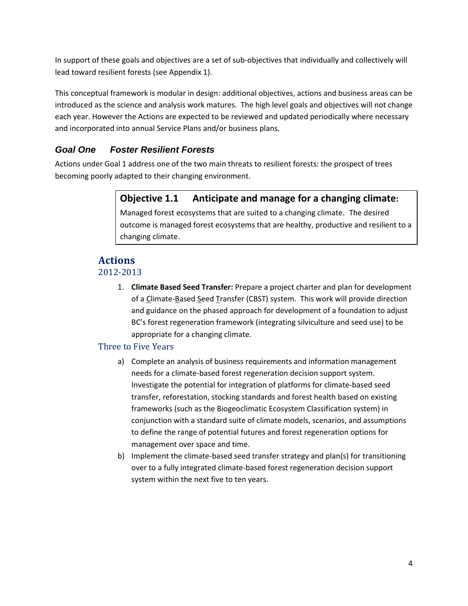In support of these goals and objectives are a set of sub-objectives that individually and collectively will lead toward resilient forests (see Appendix 1).

This conceptual framework is modular in design: additional objectives, actions and business areas can be introduced as the science and analysis work matures. The high level goals and objectives will not change each year. However the Actions are expected to be reviewed and updated periodically where necessary and incorporated into annual Service Plans and/or business plans.

## <span id="page-5-0"></span>*Goal One Foster Resilient Forests*

Actions under Goal 1 address one of the two main threats to resilient forests: the prospect of trees becoming poorly adapted to their changing environment.

# **Objective 1.1 Anticipate and manage for a changing climate:**

Managed forest ecosystems that are suited to a changing climate. The desired outcome is managed forest ecosystems that are healthy, productive and resilient to a changing climate.

# **Actions**

#### 2012-2013

1. **Climate Based Seed Transfer:** Prepare a project charter and plan for development of a Climate-Based Seed Transfer (CBST) system. This work will provide direction and guidance on the phased approach for development of a foundation to adjust BC's forest regeneration framework (integrating silviculture and seed use) to be appropriate for a changing climate.

#### Three to Five Years

- a) Complete an analysis of business requirements and information management needs for a climate-based forest regeneration decision support system. Investigate the potential for integration of platforms for climate-based seed transfer, reforestation, stocking standards and forest health based on existing frameworks (such as the Biogeoclimatic Ecosystem Classification system) in conjunction with a standard suite of climate models, scenarios, and assumptions to define the range of potential futures and forest regeneration options for management over space and time.
- b) Implement the climate-based seed transfer strategy and plan(s) for transitioning over to a fully integrated climate-based forest regeneration decision support system within the next five to ten years.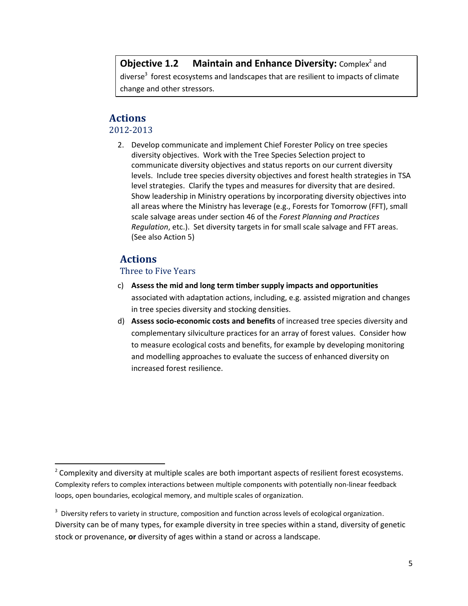# **Objective 1.2 Maintain and Enhance Diversity: Complex<sup>2</sup> and** diverse<sup>3</sup> forest ecosystems and landscapes that are resilient to impacts of climate change and other stressors.

# **Actions**

#### 2012-2013

2. Develop communicate and implement Chief Forester Policy on tree species diversity objectives. Work with the Tree Species Selection project to communicate diversity objectives and status reports on our current diversity levels. Include tree species diversity objectives and forest health strategies in TSA level strategies. Clarify the types and measures for diversity that are desired. Show leadership in Ministry operations by incorporating diversity objectives into all areas where the Ministry has leverage (e.g., Forests for Tomorrow (FFT), small scale salvage areas under section 46 of the *Forest Planning and Practices Regulation*, etc.). Set diversity targets in for small scale salvage and FFT areas. (See also Action 5)

# **Actions**

<span id="page-6-0"></span> $\overline{a}$ 

#### Three to Five Years

- c) **Assess the mid and long term timber supply impacts and opportunities**  associated with adaptation actions, including, e.g. assisted migration and changes in tree species diversity and stocking densities.
- d) **Assess socio-economic costs and benefits** of increased tree species diversity and complementary silviculture practices for an array of forest values. Consider how to measure ecological costs and benefits, for example by developing monitoring and modelling approaches to evaluate the success of enhanced diversity on increased forest resilience.

 $2$  Complexity and diversity at multiple scales are both important aspects of resilient forest ecosystems. Complexity refers to complex interactions between multiple components with potentially non-linear feedback loops, open boundaries, ecological memory, and multiple scales of organization.

 $3$  Diversity refers to variety in structure, composition and function across levels of ecological organization. Diversity can be of many types, for example diversity in tree species within a stand, diversity of genetic stock or provenance, **or** diversity of ages within a stand or across a landscape.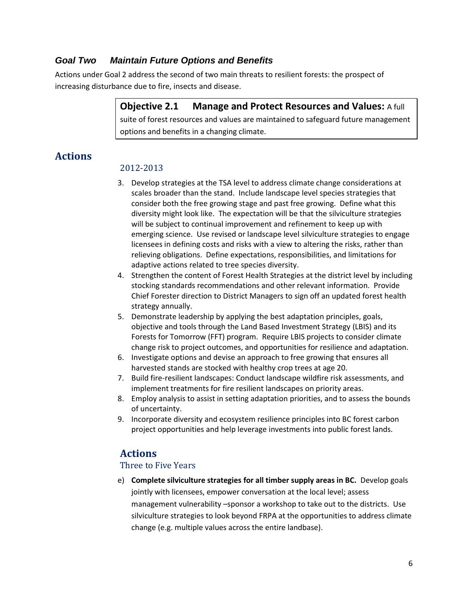#### *Goal Two Maintain Future Options and Benefits*

Actions under Goal 2 address the second of two main threats to resilient forests: the prospect of increasing disturbance due to fire, insects and disease.

> **Objective 2.1 Manage and Protect Resources and Values:** A full suite of forest resources and values are maintained to safeguard future management options and benefits in a changing climate.

# **Actions**

#### 2012-2013

- 3. Develop strategies at the TSA level to address climate change considerations at scales broader than the stand. Include landscape level species strategies that consider both the free growing stage and past free growing. Define what this diversity might look like. The expectation will be that the silviculture strategies will be subject to continual improvement and refinement to keep up with emerging science. Use revised or landscape level silviculture strategies to engage licensees in defining costs and risks with a view to altering the risks, rather than relieving obligations. Define expectations, responsibilities, and limitations for adaptive actions related to tree species diversity.
- 4. Strengthen the content of Forest Health Strategies at the district level by including stocking standards recommendations and other relevant information. Provide Chief Forester direction to District Managers to sign off an updated forest health strategy annually.
- 5. Demonstrate leadership by applying the best adaptation principles, goals, objective and tools through the Land Based Investment Strategy (LBIS) and its Forests for Tomorrow (FFT) program. Require LBIS projects to consider climate change risk to project outcomes, and opportunities for resilience and adaptation.
- 6. Investigate options and devise an approach to free growing that ensures all harvested stands are stocked with healthy crop trees at age 20.
- 7. Build fire-resilient landscapes: Conduct landscape wildfire risk assessments, and implement treatments for fire resilient landscapes on priority areas.
- 8. Employ analysis to assist in setting adaptation priorities, and to assess the bounds of uncertainty.
- 9. Incorporate diversity and ecosystem resilience principles into BC forest carbon project opportunities and help leverage investments into public forest lands.

# **Actions**

#### Three to Five Years

e) **Complete silviculture strategies for all timber supply areas in BC.** Develop goals jointly with licensees, empower conversation at the local level; assess management vulnerability –sponsor a workshop to take out to the districts. Use silviculture strategies to look beyond FRPA at the opportunities to address climate change (e.g. multiple values across the entire landbase).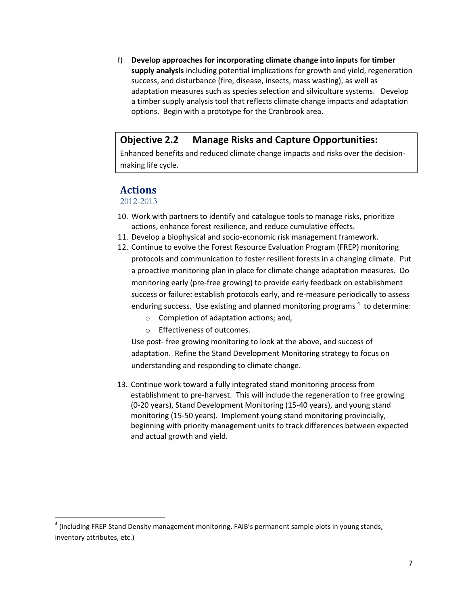f) **Develop approaches for incorporating climate change into inputs for timber supply analysis** including potential implications for growth and yield, regeneration success, and disturbance (fire, disease, insects, mass wasting), as well as adaptation measures such as species selection and silviculture systems. Develop a timber supply analysis tool that reflects climate change impacts and adaptation options. Begin with a prototype for the Cranbrook area.

#### **Objective 2.2 Manage Risks and Capture Opportunities:**

Enhanced benefits and reduced climate change impacts and risks over the decisionmaking life cycle.

#### **Actions**

2012-2013

<span id="page-8-0"></span> $\overline{\phantom{a}}$ 

- 10. Work with partners to identify and catalogue tools to manage risks, prioritize actions, enhance forest resilience, and reduce cumulative effects.
- 11. Develop a biophysical and socio-economic risk management framework.
- 12. Continue to evolve the Forest Resource Evaluation Program (FREP) monitoring protocols and communication to foster resilient forests in a changing climate. Put a proactive monitoring plan in place for climate change adaptation measures. Do monitoring early (pre-free growing) to provide early feedback on establishment success or failure: establish protocols early, and re-measure periodically to assess enduring success. Use existing and planned monitoring programs  $^4$  to determine:
	- o Completion of adaptation actions; and,
	- o Effectiveness of outcomes.

Use post- free growing monitoring to look at the above, and success of adaptation. Refine the Stand Development Monitoring strategy to focus on understanding and responding to climate change.

13. Continue work toward a fully integrated stand monitoring process from establishment to pre-harvest. This will include the regeneration to free growing (0-20 years), Stand Development Monitoring (15-40 years), and young stand monitoring (15-50 years). Implement young stand monitoring provincially, beginning with priority management units to track differences between expected and actual growth and yield.

<sup>&</sup>lt;sup>4</sup> (including FREP Stand Density management monitoring, FAIB's permanent sample plots in young stands, inventory attributes, etc.)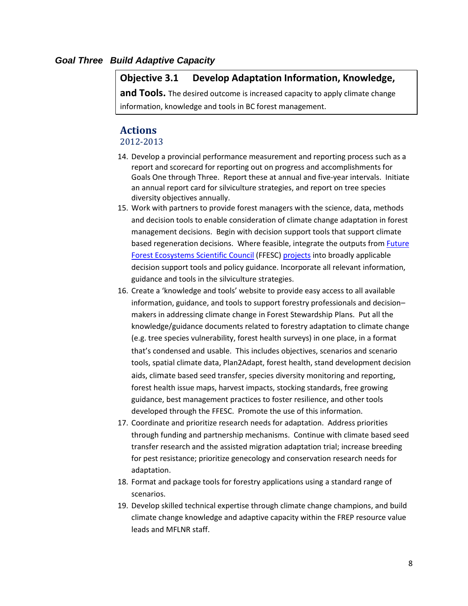#### *Goal Three Build Adaptive Capacity*

#### **Objective 3.1 Develop Adaptation Information, Knowledge,**

**and Tools.** The desired outcome is increased capacity to apply climate change information, knowledge and tools in BC forest management.

#### **Actions**

#### 2012-2013

- 14. Develop a provincial performance measurement and reporting process such as a report and scorecard for reporting out on progress and accomplishments for Goals One through Three. Report these at annual and five-year intervals.Initiate an annual report card for silviculture strategies, and report on tree species diversity objectives annually.
- 15. Work with partners to provide forest managers with the science, data, methods and decision tools to enable consideration of climate change adaptation in forest management decisions. Begin with decision support tools that support climate based regeneration decisions. Where feasible, integrate the outputs fro[m Future](http://www.for.gov.bc.ca/hfp/future_forests/council/index.htm)  [Forest Ecosystems Scientific Council](http://www.for.gov.bc.ca/hfp/future_forests/council/index.htm) (FFESC[\) projects](http://www.for.gov.bc.ca/hfp/future_forests/council/index.htm#completed-projects) into broadly applicable decision support tools and policy guidance. Incorporate all relevant information, guidance and tools in the silviculture strategies.
- 16. Create a 'knowledge and tools' website to provide easy access to all available information, guidance, and tools to support forestry professionals and decision– makers in addressing climate change in Forest Stewardship Plans. Put all the knowledge/guidance documents related to forestry adaptation to climate change (e.g. tree species vulnerability, forest health surveys) in one place, in a format that's condensed and usable. This includes objectives, scenarios and scenario tools, spatial climate data, Plan2Adapt, forest health, stand development decision aids, climate based seed transfer, species diversity monitoring and reporting, forest health issue maps, harvest impacts, stocking standards, free growing guidance, best management practices to foster resilience, and other tools developed through the FFESC. Promote the use of this information.
- 17. Coordinate and prioritize research needs for adaptation. Address priorities through funding and partnership mechanisms. Continue with climate based seed transfer research and the assisted migration adaptation trial; increase breeding for pest resistance; prioritize genecology and conservation research needs for adaptation.
- 18. Format and package tools for forestry applications using a standard range of scenarios.
- 19. Develop skilled technical expertise through climate change champions, and build climate change knowledge and adaptive capacity within the FREP resource value leads and MFLNR staff.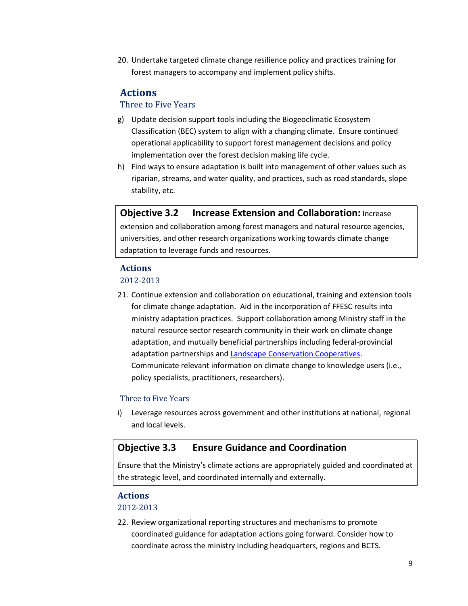20. Undertake targeted climate change resilience policy and practices training for forest managers to accompany and implement policy shifts.

# **Actions**

#### Three to Five Years

- g) Update decision support tools including the Biogeoclimatic Ecosystem Classification (BEC) system to align with a changing climate. Ensure continued operational applicability to support forest management decisions and policy implementation over the forest decision making life cycle.
- h) Find ways to ensure adaptation is built into management of other values such as riparian, streams, and water quality, and practices, such as road standards, slope stability, etc.

## **Objective 3.2 Increase Extension and Collaboration:** Increase extension and collaboration among forest managers and natural resource agencies, universities, and other research organizations working towards climate change adaptation to leverage funds and resources.

#### **Actions**

#### 2012-2013

21. Continue extension and collaboration on educational, training and extension tools for climate change adaptation.Aid in the incorporation of FFESC results into ministry adaptation practices. Support collaboration among Ministry staff in the natural resource sector research community in their work on climate change adaptation, and mutually beneficial partnerships including federal-provincial adaptation partnerships an[d Landscape Conservation Cooperatives.](http://www.fws.gov/science/shc/lcc.html) Communicate relevant information on climate change to knowledge users (i.e., policy specialists, practitioners, researchers).

#### Three to Five Years

i) Leverage resources across government and other institutions at national, regional and local levels.

#### **Objective 3.3 Ensure Guidance and Coordination**

Ensure that the Ministry's climate actions are appropriately guided and coordinated at the strategic level, and coordinated internally and externally.

#### **Actions**

#### 2012-2013

22. Review organizational reporting structures and mechanisms to promote coordinated guidance for adaptation actions going forward. Consider how to coordinate across the ministry including headquarters, regions and BCTS.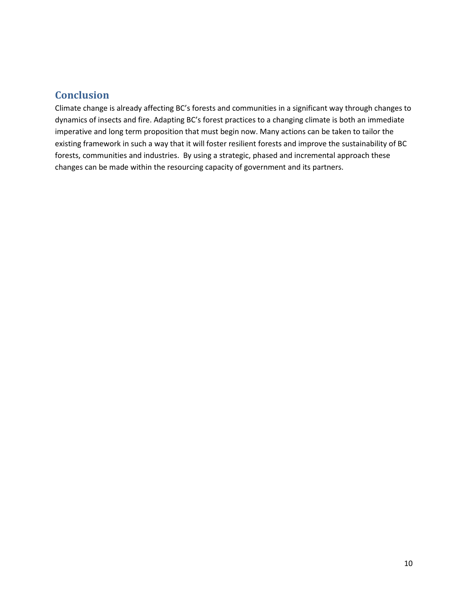# <span id="page-11-0"></span>**Conclusion**

Climate change is already affecting BC's forests and communities in a significant way through changes to dynamics of insects and fire. Adapting BC's forest practices to a changing climate is both an immediate imperative and long term proposition that must begin now. Many actions can be taken to tailor the existing framework in such a way that it will foster resilient forests and improve the sustainability of BC forests, communities and industries. By using a strategic, phased and incremental approach these changes can be made within the resourcing capacity of government and its partners.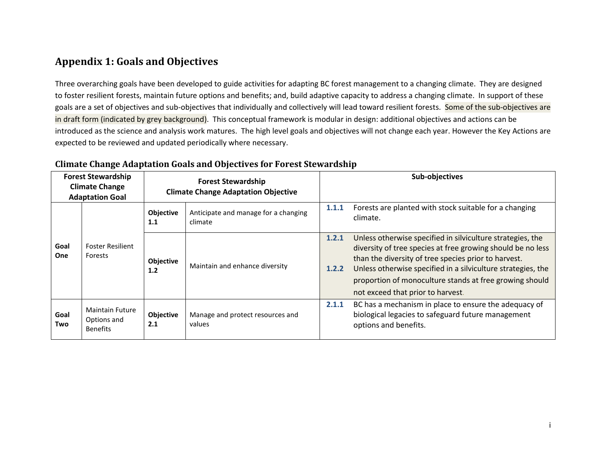# **Appendix 1: Goals and Objectives**

Three overarching goals have been developed to guide activities for adapting BC forest management to a changing climate. They are designed to foster resilient forests, maintain future options and benefits; and, build adaptive capacity to address a changing climate. In support of these goals are a set of objectives and sub-objectives that individually and collectively will lead toward resilient forests. Some of the sub-objectives are in draft form (indicated by grey background). This conceptual framework is modular in design: additional objectives and actions can be introduced as the science and analysis work matures. The high level goals and objectives will not change each year. However the Key Actions are expected to be reviewed and updated periodically where necessary.

<span id="page-12-0"></span>

| <b>Forest Stewardship</b><br><b>Climate Change</b><br><b>Adaptation Goal</b> |                                                          | <b>Forest Stewardship</b><br><b>Climate Change Adaptation Objective</b> |                                                 |                | Sub-objectives                                                                                                                                                                                                                                                                                                                                    |
|------------------------------------------------------------------------------|----------------------------------------------------------|-------------------------------------------------------------------------|-------------------------------------------------|----------------|---------------------------------------------------------------------------------------------------------------------------------------------------------------------------------------------------------------------------------------------------------------------------------------------------------------------------------------------------|
| Goal<br><b>One</b>                                                           | <b>Foster Resilient</b><br>Forests                       | <b>Objective</b><br>1.1                                                 | Anticipate and manage for a changing<br>climate | 1.1.1          | Forests are planted with stock suitable for a changing<br>climate.                                                                                                                                                                                                                                                                                |
|                                                                              |                                                          | Objective<br>1.2                                                        | Maintain and enhance diversity                  | 1.2.1<br>1.2.2 | Unless otherwise specified in silviculture strategies, the<br>diversity of tree species at free growing should be no less<br>than the diversity of tree species prior to harvest.<br>Unless otherwise specified in a silviculture strategies, the<br>proportion of monoculture stands at free growing should<br>not exceed that prior to harvest. |
| Goal<br>Two                                                                  | <b>Maintain Future</b><br>Options and<br><b>Benefits</b> | Objective<br>2.1                                                        | Manage and protect resources and<br>values      | 2.1.1          | BC has a mechanism in place to ensure the adequacy of<br>biological legacies to safeguard future management<br>options and benefits.                                                                                                                                                                                                              |

#### **Climate Change Adaptation Goals and Objectives for Forest Stewardship**